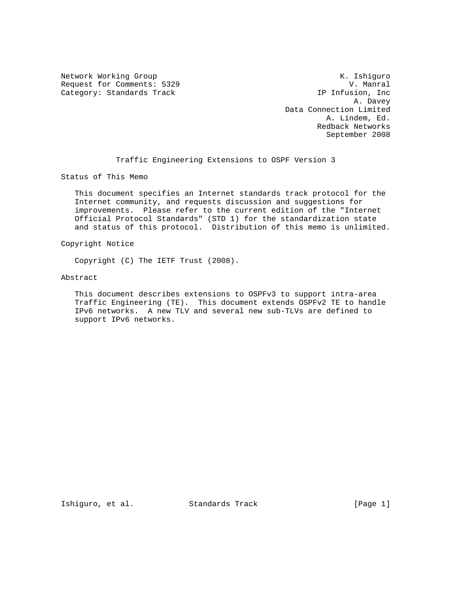Network Working Group Network Working Group Network Working Group Request for Comments: 5329 V. Manral<br>Category: Standards Track Track (IP Infusion, Inc

Category: Standards Track IP Infusion, Inc 2014, Davey A. Davey Data Connection Limited A. Lindem, Ed. Redback Networks September 2008

Traffic Engineering Extensions to OSPF Version 3

Status of This Memo

 This document specifies an Internet standards track protocol for the Internet community, and requests discussion and suggestions for improvements. Please refer to the current edition of the "Internet Official Protocol Standards" (STD 1) for the standardization state and status of this protocol. Distribution of this memo is unlimited.

Copyright Notice

Copyright (C) The IETF Trust (2008).

Abstract

 This document describes extensions to OSPFv3 to support intra-area Traffic Engineering (TE). This document extends OSPFv2 TE to handle IPv6 networks. A new TLV and several new sub-TLVs are defined to support IPv6 networks.

Ishiguro, et al. Standards Track [Page 1]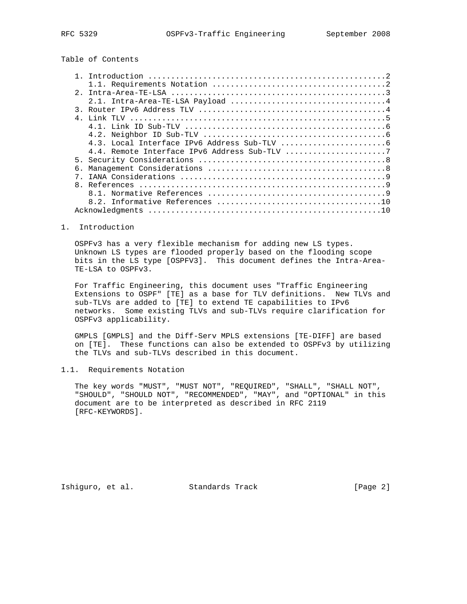Table of Contents

| $2^{\circ}$ |  |
|-------------|--|
|             |  |
|             |  |
|             |  |
|             |  |
|             |  |
|             |  |
|             |  |
|             |  |
|             |  |
|             |  |
|             |  |
|             |  |
|             |  |
|             |  |

## 1. Introduction

 OSPFv3 has a very flexible mechanism for adding new LS types. Unknown LS types are flooded properly based on the flooding scope bits in the LS type [OSPFV3]. This document defines the Intra-Area- TE-LSA to OSPFv3.

 For Traffic Engineering, this document uses "Traffic Engineering Extensions to OSPF" [TE] as a base for TLV definitions. New TLVs and sub-TLVs are added to [TE] to extend TE capabilities to IPv6 networks. Some existing TLVs and sub-TLVs require clarification for OSPFv3 applicability.

 GMPLS [GMPLS] and the Diff-Serv MPLS extensions [TE-DIFF] are based on [TE]. These functions can also be extended to OSPFv3 by utilizing the TLVs and sub-TLVs described in this document.

# 1.1. Requirements Notation

 The key words "MUST", "MUST NOT", "REQUIRED", "SHALL", "SHALL NOT", "SHOULD", "SHOULD NOT", "RECOMMENDED", "MAY", and "OPTIONAL" in this document are to be interpreted as described in RFC 2119 [RFC-KEYWORDS].

Ishiguro, et al. Standards Track [Page 2]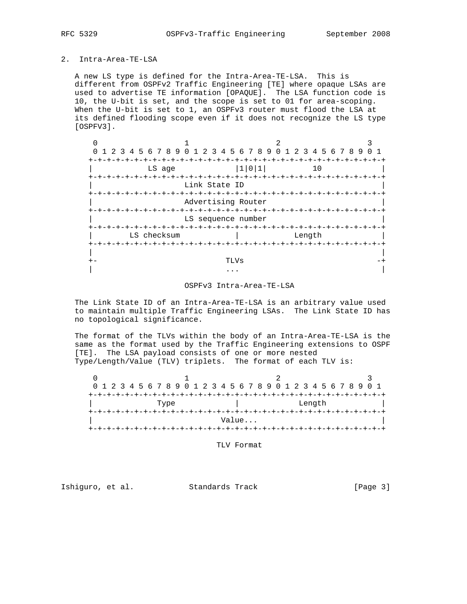#### 2. Intra-Area-TE-LSA

 A new LS type is defined for the Intra-Area-TE-LSA. This is different from OSPFv2 Traffic Engineering [TE] where opaque LSAs are used to advertise TE information [OPAQUE]. The LSA function code is 10, the U-bit is set, and the scope is set to 01 for area-scoping. When the U-bit is set to 1, an OSPFv3 router must flood the LSA at its defined flooding scope even if it does not recognize the LS type [OSPFV3].

| 1 2 3 4 5 6 7 8 9 0 1 2 3 4 5 6 7 8 9 0 1 2 3 4 5 6 7 8 9 |                                       |                    |      |       |  |  |        |  |  |  |  |
|-----------------------------------------------------------|---------------------------------------|--------------------|------|-------|--|--|--------|--|--|--|--|
| +-+-+-+-+-+-+-+-+-+                                       | LS age                                |                    |      | 1 0 1 |  |  | 10     |  |  |  |  |
|                                                           |                                       | Link State ID      |      |       |  |  |        |  |  |  |  |
| $+ - + - + - + - + - +$                                   |                                       | Advertising Router |      |       |  |  |        |  |  |  |  |
|                                                           |                                       | LS sequence number |      |       |  |  |        |  |  |  |  |
|                                                           | +-+-+-+-+-+-+-+-+-+-+-+-+-+-+-+-+-+-+ |                    |      |       |  |  |        |  |  |  |  |
|                                                           | LS checksum                           |                    |      |       |  |  | Length |  |  |  |  |
|                                                           |                                       |                    |      |       |  |  |        |  |  |  |  |
|                                                           |                                       |                    | TLVs |       |  |  |        |  |  |  |  |
|                                                           |                                       |                    |      |       |  |  |        |  |  |  |  |

## OSPFv3 Intra-Area-TE-LSA

 The Link State ID of an Intra-Area-TE-LSA is an arbitrary value used to maintain multiple Traffic Engineering LSAs. The Link State ID has no topological significance.

 The format of the TLVs within the body of an Intra-Area-TE-LSA is the same as the format used by the Traffic Engineering extensions to OSPF [TE]. The LSA payload consists of one or more nested Type/Length/Value (TLV) triplets. The format of each TLV is:

|      |  |  |  |  |  |  |  |  |        |  |  |  |       |  |  |  |  |  |  |  |  |  | 0 1 2 3 4 5 6 7 8 9 0 1 2 3 4 5 6 7 8 9 0 1 2 3 4 5 6 7 8 9 0 1 |  |  |
|------|--|--|--|--|--|--|--|--|--------|--|--|--|-------|--|--|--|--|--|--|--|--|--|-----------------------------------------------------------------|--|--|
|      |  |  |  |  |  |  |  |  |        |  |  |  |       |  |  |  |  |  |  |  |  |  |                                                                 |  |  |
| Type |  |  |  |  |  |  |  |  | Length |  |  |  |       |  |  |  |  |  |  |  |  |  |                                                                 |  |  |
|      |  |  |  |  |  |  |  |  |        |  |  |  |       |  |  |  |  |  |  |  |  |  |                                                                 |  |  |
|      |  |  |  |  |  |  |  |  |        |  |  |  | Value |  |  |  |  |  |  |  |  |  |                                                                 |  |  |
|      |  |  |  |  |  |  |  |  |        |  |  |  |       |  |  |  |  |  |  |  |  |  |                                                                 |  |  |

TLV Format

Ishiguro, et al. Standards Track [Page 3]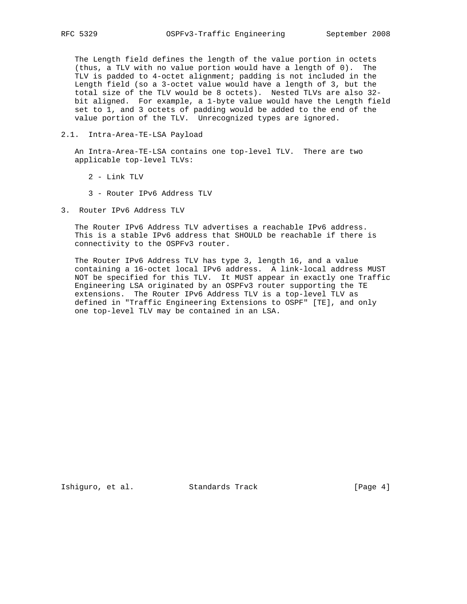The Length field defines the length of the value portion in octets (thus, a TLV with no value portion would have a length of 0). The TLV is padded to 4-octet alignment; padding is not included in the Length field (so a 3-octet value would have a length of 3, but the total size of the TLV would be 8 octets). Nested TLVs are also 32 bit aligned. For example, a 1-byte value would have the Length field set to 1, and 3 octets of padding would be added to the end of the value portion of the TLV. Unrecognized types are ignored.

2.1. Intra-Area-TE-LSA Payload

 An Intra-Area-TE-LSA contains one top-level TLV. There are two applicable top-level TLVs:

- 2 Link TLV
- 3 Router IPv6 Address TLV
- 3. Router IPv6 Address TLV

 The Router IPv6 Address TLV advertises a reachable IPv6 address. This is a stable IPv6 address that SHOULD be reachable if there is connectivity to the OSPFv3 router.

 The Router IPv6 Address TLV has type 3, length 16, and a value containing a 16-octet local IPv6 address. A link-local address MUST NOT be specified for this TLV. It MUST appear in exactly one Traffic Engineering LSA originated by an OSPFv3 router supporting the TE extensions. The Router IPv6 Address TLV is a top-level TLV as defined in "Traffic Engineering Extensions to OSPF" [TE], and only one top-level TLV may be contained in an LSA.

Ishiguro, et al. Standards Track [Page 4]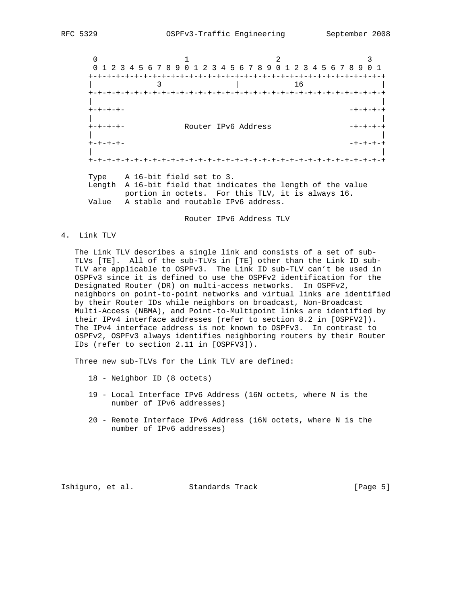$0$  1 2 3 0 1 2 3 4 5 6 7 8 9 0 1 2 3 4 5 6 7 8 9 0 1 2 3 4 5 6 7 8 9 0 1 +-+-+-+-+-+-+-+-+-+-+-+-+-+-+-+-+-+-+-+-+-+-+-+-+-+-+-+-+-+-+-+-+ | 3 | 16 | +-+-+-+-+-+-+-+-+-+-+-+-+-+-+-+-+-+-+-+-+-+-+-+-+-+-+-+-+-+-+-+-+ | | +-+-+-+- -+-+-+-+ | | +-+-+-+- Router IPv6 Address -+-+-+-+ | | +-+-+-+- -+-+-+-+ | | +-+-+-+-+-+-+-+-+-+-+-+-+-+-+-+-+-+-+-+-+-+-+-+-+-+-+-+-+-+-+-+-+ Type A 16-bit field set to 3.

 Length A 16-bit field that indicates the length of the value portion in octets. For this TLV, it is always 16. Value A stable and routable IPv6 address.

Router IPv6 Address TLV

4. Link TLV

 The Link TLV describes a single link and consists of a set of sub- TLVs [TE]. All of the sub-TLVs in [TE] other than the Link ID sub- TLV are applicable to OSPFv3. The Link ID sub-TLV can't be used in OSPFv3 since it is defined to use the OSPFv2 identification for the Designated Router (DR) on multi-access networks. In OSPFv2, neighbors on point-to-point networks and virtual links are identified by their Router IDs while neighbors on broadcast, Non-Broadcast Multi-Access (NBMA), and Point-to-Multipoint links are identified by their IPv4 interface addresses (refer to section 8.2 in [OSPFV2]). The IPv4 interface address is not known to OSPFv3. In contrast to OSPFv2, OSPFv3 always identifies neighboring routers by their Router IDs (refer to section 2.11 in [OSPFV3]).

Three new sub-TLVs for the Link TLV are defined:

- 18 Neighbor ID (8 octets)
- 19 Local Interface IPv6 Address (16N octets, where N is the number of IPv6 addresses)
- 20 Remote Interface IPv6 Address (16N octets, where N is the number of IPv6 addresses)

Ishiguro, et al. Standards Track [Page 5]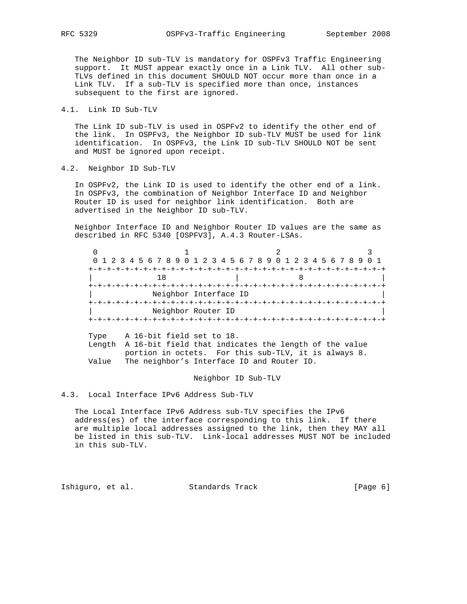The Neighbor ID sub-TLV is mandatory for OSPFv3 Traffic Engineering support. It MUST appear exactly once in a Link TLV. All other sub- TLVs defined in this document SHOULD NOT occur more than once in a Link TLV. If a sub-TLV is specified more than once, instances subsequent to the first are ignored.

4.1. Link ID Sub-TLV

 The Link ID sub-TLV is used in OSPFv2 to identify the other end of the link. In OSPFv3, the Neighbor ID sub-TLV MUST be used for link identification. In OSPFv3, the Link ID sub-TLV SHOULD NOT be sent and MUST be ignored upon receipt.

4.2. Neighbor ID Sub-TLV

 In OSPFv2, the Link ID is used to identify the other end of a link. In OSPFv3, the combination of Neighbor Interface ID and Neighbor Router ID is used for neighbor link identification. Both are advertised in the Neighbor ID sub-TLV.

 Neighbor Interface ID and Neighbor Router ID values are the same as described in RFC 5340 [OSPFV3], A.4.3 Router-LSAs.

| 0 1 2 3 4 5 6 7 8 9 0 1 2 3 4 5 6 7 8 9 0 1 2 3 4 5 6 7 8 9 0 1 |  |  |  |  |  |  |  |  |
|-----------------------------------------------------------------|--|--|--|--|--|--|--|--|
|                                                                 |  |  |  |  |  |  |  |  |
|                                                                 |  |  |  |  |  |  |  |  |
|                                                                 |  |  |  |  |  |  |  |  |
| Neighbor Interface ID                                           |  |  |  |  |  |  |  |  |
|                                                                 |  |  |  |  |  |  |  |  |
| Neighbor Router ID                                              |  |  |  |  |  |  |  |  |
|                                                                 |  |  |  |  |  |  |  |  |

 Type A 16-bit field set to 18. Length A 16-bit field that indicates the length of the value portion in octets. For this sub-TLV, it is always 8. Value The neighbor's Interface ID and Router ID.

#### Neighbor ID Sub-TLV

4.3. Local Interface IPv6 Address Sub-TLV

 The Local Interface IPv6 Address sub-TLV specifies the IPv6 address(es) of the interface corresponding to this link. If there are multiple local addresses assigned to the link, then they MAY all be listed in this sub-TLV. Link-local addresses MUST NOT be included in this sub-TLV.

Ishiguro, et al. Standards Track [Page 6]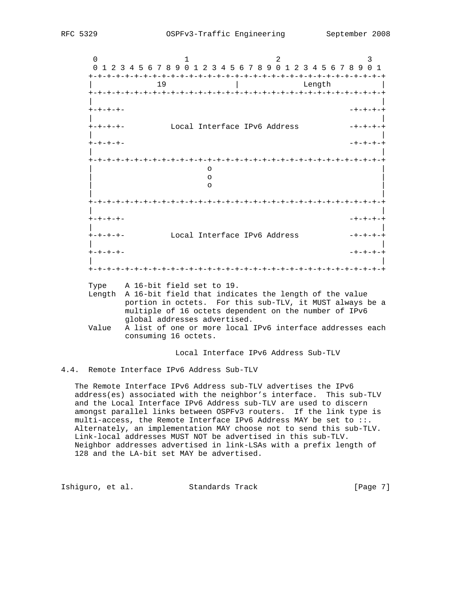$0$  1 2 3 0 1 2 3 4 5 6 7 8 9 0 1 2 3 4 5 6 7 8 9 0 1 2 3 4 5 6 7 8 9 0 1 +-+-+-+-+-+-+-+-+-+-+-+-+-+-+-+-+-+-+-+-+-+-+-+-+-+-+-+-+-+-+-+-+ 19 | Length +-+-+-+-+-+-+-+-+-+-+-+-+-+-+-+-+-+-+-+-+-+-+-+-+-+-+-+-+-+-+-+-+ | | +-+-+-+- -+-+-+-+ | | +-+-+-+- Local Interface IPv6 Address -+-+-+-+ | | +-+-+-+- -+-+-+-+ | | +-+-+-+-+-+-+-+-+-+-+-+-+-+-+-+-+-+-+-+-+-+-+-+-+-+-+-+-+-+-+-+-+ | o | | o | | o | | | +-+-+-+-+-+-+-+-+-+-+-+-+-+-+-+-+-+-+-+-+-+-+-+-+-+-+-+-+-+-+-+-+ | | +-+-+-+- -+-+-+-+ | | +-+-+-+- Local Interface IPv6 Address -+-+-+-+ | | +-+-+-+- -+-+-+-+ | | +-+-+-+-+-+-+-+-+-+-+-+-+-+-+-+-+-+-+-+-+-+-+-+-+-+-+-+-+-+-+-+-+

Type A 16-bit field set to 19.

- Length A 16-bit field that indicates the length of the value portion in octets. For this sub-TLV, it MUST always be a multiple of 16 octets dependent on the number of IPv6 global addresses advertised.
- Value A list of one or more local IPv6 interface addresses each consuming 16 octets.

Local Interface IPv6 Address Sub-TLV

4.4. Remote Interface IPv6 Address Sub-TLV

 The Remote Interface IPv6 Address sub-TLV advertises the IPv6 address(es) associated with the neighbor's interface. This sub-TLV and the Local Interface IPv6 Address sub-TLV are used to discern amongst parallel links between OSPFv3 routers. If the link type is multi-access, the Remote Interface IPv6 Address MAY be set to ::. Alternately, an implementation MAY choose not to send this sub-TLV. Link-local addresses MUST NOT be advertised in this sub-TLV. Neighbor addresses advertised in link-LSAs with a prefix length of 128 and the LA-bit set MAY be advertised.

Ishiguro, et al. Standards Track [Page 7]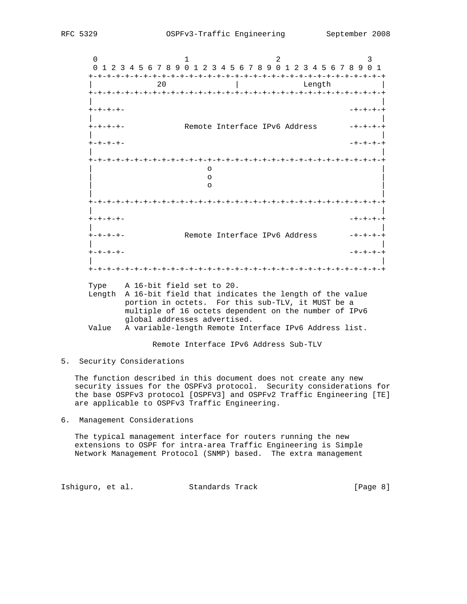$0$  1 2 3 0 1 2 3 4 5 6 7 8 9 0 1 2 3 4 5 6 7 8 9 0 1 2 3 4 5 6 7 8 9 0 1 +-+-+-+-+-+-+-+-+-+-+-+-+-+-+-+-+-+-+-+-+-+-+-+-+-+-+-+-+-+-+-+-+ | 20 | Length | +-+-+-+-+-+-+-+-+-+-+-+-+-+-+-+-+-+-+-+-+-+-+-+-+-+-+-+-+-+-+-+-+ | | +-+-+-+- -+-+-+-+ | | +-+-+-+- Remote Interface IPv6 Address -+-+-+-+ | | +-+-+-+- -+-+-+-+ | | +-+-+-+-+-+-+-+-+-+-+-+-+-+-+-+-+-+-+-+-+-+-+-+-+-+-+-+-+-+-+-+-+ | o | | o | | o | | | +-+-+-+-+-+-+-+-+-+-+-+-+-+-+-+-+-+-+-+-+-+-+-+-+-+-+-+-+-+-+-+-+ | | +-+-+-+- -+-+-+-+ | | Remote Interface IPv6 Address | | +-+-+-+- -+-+-+-+ | | +-+-+-+-+-+-+-+-+-+-+-+-+-+-+-+-+-+-+-+-+-+-+-+-+-+-+-+-+-+-+-+-+

Type A 16-bit field set to 20.

 Length A 16-bit field that indicates the length of the value portion in octets. For this sub-TLV, it MUST be a multiple of 16 octets dependent on the number of IPv6 global addresses advertised.

Value A variable-length Remote Interface IPv6 Address list.

Remote Interface IPv6 Address Sub-TLV

5. Security Considerations

 The function described in this document does not create any new security issues for the OSPFv3 protocol. Security considerations for the base OSPFv3 protocol [OSPFV3] and OSPFv2 Traffic Engineering [TE] are applicable to OSPFv3 Traffic Engineering.

6. Management Considerations

 The typical management interface for routers running the new extensions to OSPF for intra-area Traffic Engineering is Simple Network Management Protocol (SNMP) based. The extra management

Ishiguro, et al. Standards Track [Page 8]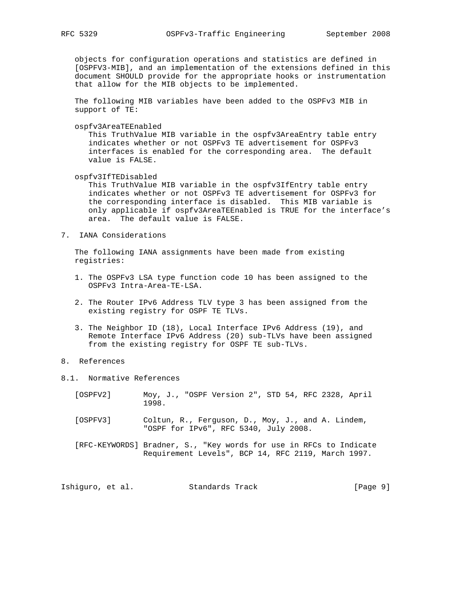objects for configuration operations and statistics are defined in [OSPFV3-MIB], and an implementation of the extensions defined in this document SHOULD provide for the appropriate hooks or instrumentation that allow for the MIB objects to be implemented.

 The following MIB variables have been added to the OSPFv3 MIB in support of TE:

ospfv3AreaTEEnabled

 This TruthValue MIB variable in the ospfv3AreaEntry table entry indicates whether or not OSPFv3 TE advertisement for OSPFv3 interfaces is enabled for the corresponding area. The default value is FALSE.

ospfv3IfTEDisabled

 This TruthValue MIB variable in the ospfv3IfEntry table entry indicates whether or not OSPFv3 TE advertisement for OSPFv3 for the corresponding interface is disabled. This MIB variable is only applicable if ospfv3AreaTEEnabled is TRUE for the interface's area. The default value is FALSE.

7. IANA Considerations

 The following IANA assignments have been made from existing registries:

- 1. The OSPFv3 LSA type function code 10 has been assigned to the OSPFv3 Intra-Area-TE-LSA.
- 2. The Router IPv6 Address TLV type 3 has been assigned from the existing registry for OSPF TE TLVs.
- 3. The Neighbor ID (18), Local Interface IPv6 Address (19), and Remote Interface IPv6 Address (20) sub-TLVs have been assigned from the existing registry for OSPF TE sub-TLVs.

# 8. References

- 8.1. Normative References
	- [OSPFV2] Moy, J., "OSPF Version 2", STD 54, RFC 2328, April 1998.
	- [OSPFV3] Coltun, R., Ferguson, D., Moy, J., and A. Lindem, "OSPF for IPv6", RFC 5340, July 2008.
	- [RFC-KEYWORDS] Bradner, S., "Key words for use in RFCs to Indicate Requirement Levels", BCP 14, RFC 2119, March 1997.

Ishiguro, et al. Standards Track [Page 9]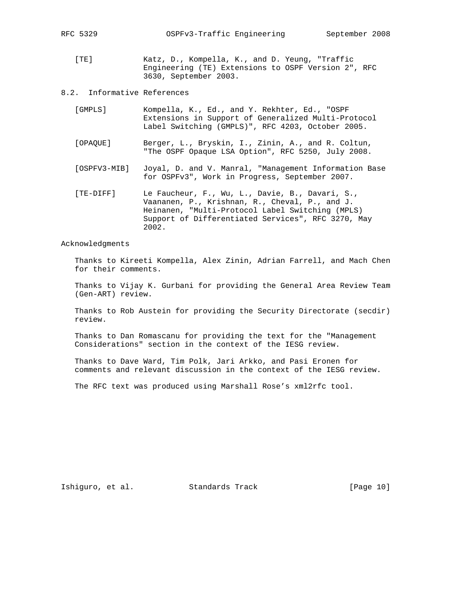[TE] Katz, D., Kompella, K., and D. Yeung, "Traffic Engineering (TE) Extensions to OSPF Version 2", RFC 3630, September 2003.

## 8.2. Informative References

| [GMPLS]  | Kompella, K., Ed., and Y. Rekhter, Ed., "OSPF       |
|----------|-----------------------------------------------------|
|          | Extensions in Support of Generalized Multi-Protocol |
|          | Label Switching (GMPLS)", RFC 4203, October 2005.   |
|          |                                                     |
| [OPAOUE] | Berger, L., Bryskin, I., Zinin, A., and R. Coltun,  |

- "The OSPF Opaque LSA Option", RFC 5250, July 2008.
	- [OSPFV3-MIB] Joyal, D. and V. Manral, "Management Information Base for OSPFv3", Work in Progress, September 2007.
	- [TE-DIFF] Le Faucheur, F., Wu, L., Davie, B., Davari, S., Vaananen, P., Krishnan, R., Cheval, P., and J. Heinanen, "Multi-Protocol Label Switching (MPLS) Support of Differentiated Services", RFC 3270, May 2002.

Acknowledgments

 Thanks to Kireeti Kompella, Alex Zinin, Adrian Farrell, and Mach Chen for their comments.

 Thanks to Vijay K. Gurbani for providing the General Area Review Team (Gen-ART) review.

 Thanks to Rob Austein for providing the Security Directorate (secdir) review.

 Thanks to Dan Romascanu for providing the text for the "Management Considerations" section in the context of the IESG review.

 Thanks to Dave Ward, Tim Polk, Jari Arkko, and Pasi Eronen for comments and relevant discussion in the context of the IESG review.

The RFC text was produced using Marshall Rose's xml2rfc tool.

Ishiguro, et al. Standards Track [Page 10]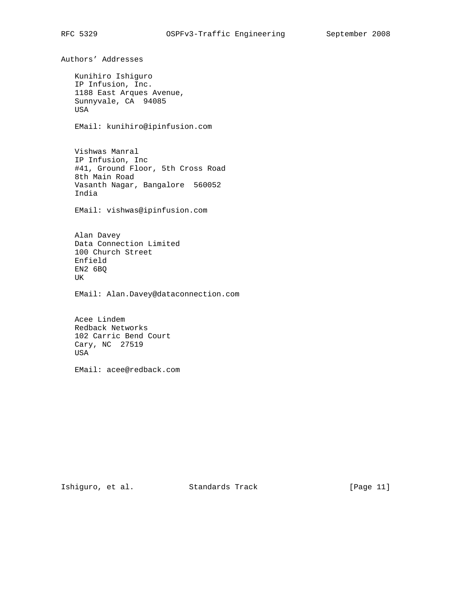Authors' Addresses Kunihiro Ishiguro IP Infusion, Inc. 1188 East Arques Avenue, Sunnyvale, CA 94085 USA EMail: kunihiro@ipinfusion.com Vishwas Manral IP Infusion, Inc #41, Ground Floor, 5th Cross Road 8th Main Road Vasanth Nagar, Bangalore 560052 India EMail: vishwas@ipinfusion.com Alan Davey Data Connection Limited 100 Church Street Enfield EN2 6BQ UK EMail: Alan.Davey@dataconnection.com

 Acee Lindem Redback Networks 102 Carric Bend Court Cary, NC 27519 USA

EMail: acee@redback.com

Ishiguro, et al. Standards Track [Page 11]